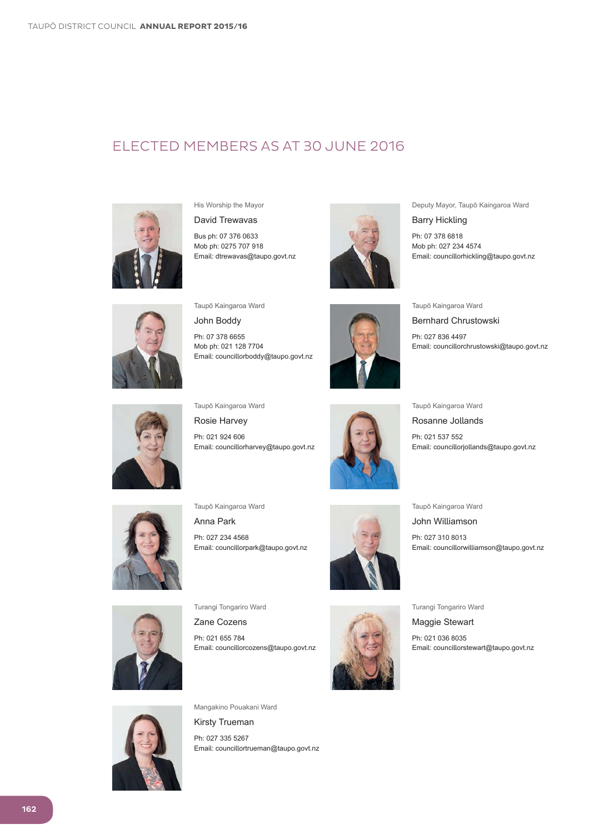### ELECTED MEMBERS AS AT 30 JUNE 2016



His Worship the Mayor

David Trewavas

Bus ph: 07 376 0633 Mob ph: 0275 707 918 Email: dtrewavas@taupo.govt.nz



Deputy Mayor, Taupō Kaingaroa Ward

**Barry Hickling** 

Ph: 07 378 6818 Mob ph: 027 234 4574 Email: councillorhickling@taupo.govt.nz



Taupō Kaingaroa Ward

John Boddy

Ph: 07 378 6655 Mob ph: 021 128 7704 Email: councillorboddy@taupo.govt.nz



Taupō Kaingaroa Ward

**Bernhard Chrustowski** 

Ph: 027 836 4497 Email: councillorchrustowski@taupo.govt.nz



Taupō Kaingaroa Ward

Rosie Harvey Ph: 021 924 606 Email: councillorharvey@taupo.govt.nz



Taupō Kaingaroa Ward

Rosanne Jollands

Ph: 021 537 552 Email: councillorjollands@taupo.govt.nz



Taupō Kaingaroa Ward

Anna Park Ph: 027 234 4568 Email: councillorpark@taupo.govt.nz



Taupō Kaingaroa Ward

John Williamson

Ph: 027 310 8013 Email: councillorwilliamson@taupo.govt.nz



Turangi Tongariro Ward

Zane Cozens Ph: 021 655 784 Email: councillorcozens@taupo.govt.nz



Turangi Tongariro Ward

Maggie Stewart Ph: 021 036 8035 Email: councillorstewart@taupo.govt.nz



Mangakino Pouakani Ward

**Kirsty Trueman** Ph: 027 335 5267 Email: councillortrueman@taupo.govt.nz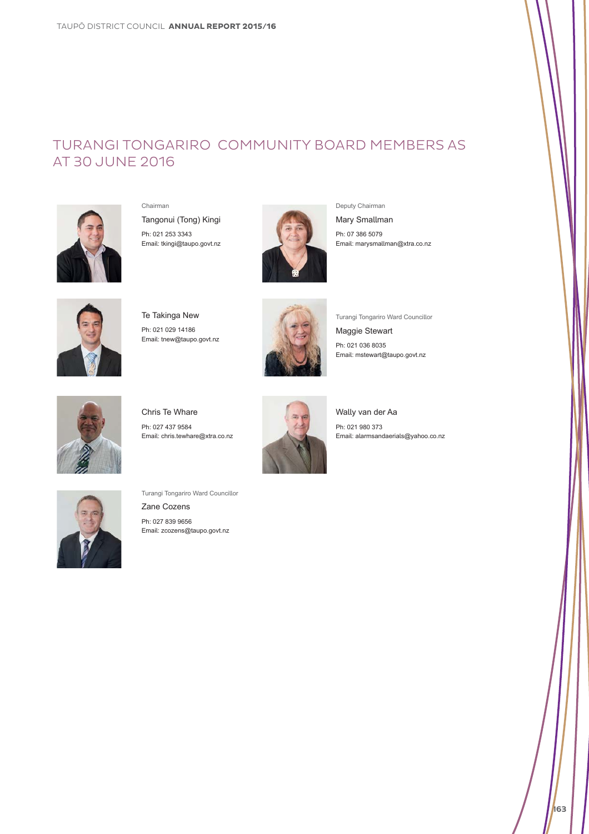## TURANGI TONGARIRO COMMUNITY BOARD MEMBERS AS AT 30 JUNE 2016



Chairman Tangonui (Tong) Kingi Ph: 021 253 3343 Email: tkingi@taupo.govt.nz



Deputy Chairman

Mary Smallman

Ph: 07 386 5079 Email: marysmallman@xtra.co.nz



Te Takinga New Ph: 021 029 14186 Email: tnew@taupo.govt.nz



Turangi Tongariro Ward Councillor

Maggie Stewart Ph: 021 036 8035 Email: mstewart@taupo.govt.nz

Chris Te Whare Ph: 027 437 9584 Email: chris.tewhare@xtra.co.nz



Wally van der Aa Ph: 021 980 373 Email: alarmsandaerials@yahoo.co.nz



Turangi Tongariro Ward Councillor Zane Cozens Ph: 027 839 9656 Email: zcozens@taupo.govt.nz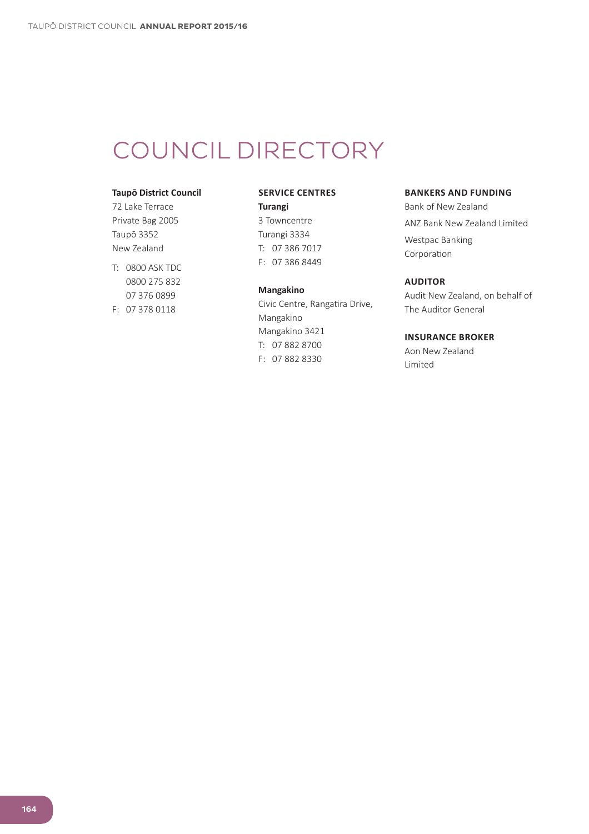# COUNCIL DIRECTORY

#### **Taupō District Council**

72 Lake Terrace Private Bag 2005 Taupō 3352 New Zealand

T: 0800 ASK TDC 0800 275 832 07 376 0899  $F: 073780118$ 

#### **SERVICE CENTRES**

#### **Turangi**

3 Towncentre Turangi 3334  $T: 073867017$  $F: 073868449$ 

#### **Mangakino**

Civic Centre, Rangatira Drive, Mangakino Mangakino 3421 T: 07 882 8700 F: 07 882 8330

#### **BANKERS AND FUNDING**

Bank of New Zealand ANZ Bank New Zealand Limited Westpac Banking Corporation

#### **AUDITOR**

Audit New Zealand, on behalf of The Auditor General

#### **INSURANCE BROKER**

Aon New Zealand Limited